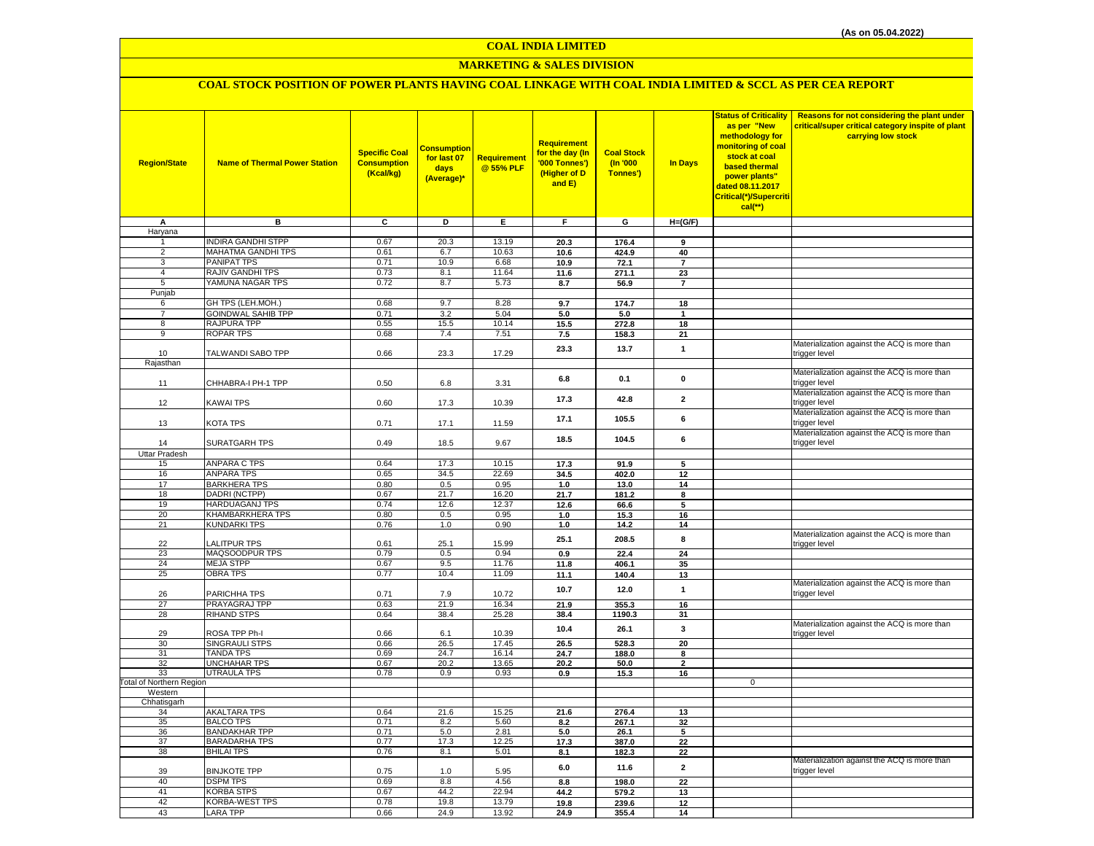## **MARKETING & SALES DIVISION**

## **COAL STOCK POSITION OF POWER PLANTS HAVING COAL LINKAGE WITH COAL INDIA LIMITED & SCCL AS PER CEA REPORT**

| <b>Region/State</b>             | <b>Name of Thermal Power Station</b>      | <b>Specific Coal</b><br><b>Consumption</b><br>(Kcal/kg) | <b>Consumption</b><br>for last 07<br>days<br>(Average)* | <b>Requirement</b><br>@55% PLF | Requirement<br>for the day (In<br>'000 Tonnes')<br>(Higher of D<br>and E) | <b>Coal Stock</b><br>$($ ln '000<br>Tonnes') | <b>In Days</b>          | <b>Status of Criticality</b><br>as per "New<br>methodology for<br>monitoring of coal<br>stock at coal<br>based thermal<br>power plants"<br>dated 08.11.2017<br>Critical(*)/Supercriti<br>cal(**) | Reasons for not considering the plant under<br>critical/super critical category inspite of plant<br>carrying low stock |
|---------------------------------|-------------------------------------------|---------------------------------------------------------|---------------------------------------------------------|--------------------------------|---------------------------------------------------------------------------|----------------------------------------------|-------------------------|--------------------------------------------------------------------------------------------------------------------------------------------------------------------------------------------------|------------------------------------------------------------------------------------------------------------------------|
| А                               | в                                         | ट                                                       | D                                                       | Ε                              | F                                                                         | G                                            | $H=(G/F)$               |                                                                                                                                                                                                  |                                                                                                                        |
| Haryana                         | <b>INDIRA GANDHI STPP</b>                 | 0.67                                                    | 20.3                                                    | 13.19                          | 20.3                                                                      | 176.4                                        | 9                       |                                                                                                                                                                                                  |                                                                                                                        |
| 2                               | MAHATMA GANDHI TPS                        | 0.61                                                    | 6.7                                                     | 10.63                          | 10.6                                                                      | 424.9                                        | 40                      |                                                                                                                                                                                                  |                                                                                                                        |
| 3                               | <b>PANIPAT TPS</b>                        | 0.71                                                    | 10.9                                                    | 6.68                           | 10.9                                                                      | 72.1                                         | $\overline{7}$          |                                                                                                                                                                                                  |                                                                                                                        |
| 4                               | <b>RAJIV GANDHI TPS</b>                   | 0.73                                                    | 8.1                                                     | 11.64                          | 11.6                                                                      | 271.1                                        | 23                      |                                                                                                                                                                                                  |                                                                                                                        |
| 5                               | YAMUNA NAGAR TPS                          | 0.72                                                    | 8.7                                                     | 5.73                           | 8.7                                                                       | 56.9                                         | $\overline{\mathbf{r}}$ |                                                                                                                                                                                                  |                                                                                                                        |
| Punjab                          |                                           |                                                         |                                                         |                                |                                                                           |                                              |                         |                                                                                                                                                                                                  |                                                                                                                        |
| 6                               | GH TPS (LEH.MOH.)                         | 0.68                                                    | 9.7                                                     | 8.28                           | 9.7                                                                       | 174.7                                        | 18                      |                                                                                                                                                                                                  |                                                                                                                        |
| $\overline{7}$                  | <b>GOINDWAL SAHIB TPP</b>                 | 0.71                                                    | 3.2                                                     | 5.04                           | 5.0                                                                       | 5.0                                          | $\mathbf{1}$            |                                                                                                                                                                                                  |                                                                                                                        |
| 8<br>9                          | RAJPURA TPP<br>ROPAR TPS                  | 0.55<br>0.68                                            | 15.5<br>7.4                                             | 10.14<br>7.51                  | 15.5<br>7.5                                                               | 272.8                                        | 18<br>21                |                                                                                                                                                                                                  |                                                                                                                        |
|                                 |                                           |                                                         |                                                         |                                |                                                                           | 158.3                                        |                         |                                                                                                                                                                                                  | Materialization against the ACQ is more than                                                                           |
| 10                              | TALWANDI SABO TPP                         | 0.66                                                    | 23.3                                                    | 17.29                          | 23.3                                                                      | 13.7                                         | $\mathbf{1}$            |                                                                                                                                                                                                  | trigger level                                                                                                          |
| Rajasthan                       |                                           |                                                         |                                                         |                                |                                                                           |                                              |                         |                                                                                                                                                                                                  |                                                                                                                        |
| 11                              | CHHABRA-I PH-1 TPP                        | 0.50                                                    | 6.8                                                     | 3.31                           | 6.8                                                                       | 0.1                                          | 0                       |                                                                                                                                                                                                  | Materialization against the ACQ is more than<br>trigger level                                                          |
| 12                              | KAWAI TPS                                 | 0.60                                                    | 17.3                                                    | 10.39                          | 17.3                                                                      | 42.8                                         | $\mathbf{2}$            |                                                                                                                                                                                                  | Materialization against the ACQ is more than<br>trigger level                                                          |
| 13                              | KOTA TPS                                  | 0.71                                                    | 17.1                                                    | 11.59                          | 17.1                                                                      | 105.5                                        | 6                       |                                                                                                                                                                                                  | Materialization against the ACQ is more than<br>trigger level                                                          |
| 14                              | SURATGARH TPS                             | 0.49                                                    | 18.5                                                    | 9.67                           | 18.5                                                                      | 104.5                                        | 6                       |                                                                                                                                                                                                  | Materialization against the ACQ is more than<br>trigger level                                                          |
| <b>Uttar Pradesh</b>            |                                           |                                                         |                                                         |                                |                                                                           |                                              |                         |                                                                                                                                                                                                  |                                                                                                                        |
| 15                              | <b>ANPARA C TPS</b>                       | 0.64                                                    | 17.3                                                    | 10.15                          | 17.3                                                                      | 91.9                                         | 5                       |                                                                                                                                                                                                  |                                                                                                                        |
| 16                              | <b>ANPARA TPS</b>                         | 0.65                                                    | 34.5                                                    | 22.69                          | 34.5                                                                      | 402.0                                        | 12                      |                                                                                                                                                                                                  |                                                                                                                        |
| 17<br>18                        | <b>BARKHERA TPS</b><br>DADRI (NCTPP)      | 0.80<br>0.67                                            | 0.5<br>21.7                                             | 0.95<br>16.20                  | 1.0                                                                       | 13.0                                         | 14<br>8                 |                                                                                                                                                                                                  |                                                                                                                        |
| 19                              | <b>HARDUAGANJ TPS</b>                     | 0.74                                                    | 12.6                                                    | 12.37                          | 21.7<br>12.6                                                              | 181.2<br>66.6                                | 5                       |                                                                                                                                                                                                  |                                                                                                                        |
| 20                              | KHAMBARKHERA TPS                          | 0.80                                                    | 0.5                                                     | 0.95                           | 1.0                                                                       | 15.3                                         | 16                      |                                                                                                                                                                                                  |                                                                                                                        |
| 21                              | <b>KUNDARKI TPS</b>                       | 0.76                                                    | 1.0                                                     | 0.90                           | 1.0                                                                       | 14.2                                         | 14                      |                                                                                                                                                                                                  |                                                                                                                        |
| 22                              | ALITPUR TPS                               | 0.61                                                    | 25.1                                                    | 15.99                          | 25.1                                                                      | 208.5                                        | 8                       |                                                                                                                                                                                                  | Materialization against the ACQ is more than<br>trigger level                                                          |
| 23                              | MAQSOODPUR TPS                            | 0.79                                                    | 0.5                                                     | 0.94                           | 0.9                                                                       | 22.4                                         | 24                      |                                                                                                                                                                                                  |                                                                                                                        |
| 24                              | <b>MEJA STPP</b>                          | 0.67                                                    | 9.5                                                     | 11.76                          | 11.8                                                                      | 406.1                                        | 35                      |                                                                                                                                                                                                  |                                                                                                                        |
| 25                              | <b>OBRA TPS</b>                           | 0.77                                                    | 10.4                                                    | 11.09                          | 11.1                                                                      | 140.4                                        | 13                      |                                                                                                                                                                                                  | Materialization against the ACQ is more than                                                                           |
| 26                              | PARICHHA TPS                              | 0.71                                                    | 7.9                                                     | 10.72                          | 10.7                                                                      | 12.0                                         | $\mathbf{1}$            |                                                                                                                                                                                                  | trigger level                                                                                                          |
| 27<br>28                        | PRAYAGRAJ TPP<br><b>RIHAND STPS</b>       | 0.63<br>0.64                                            | 21.9<br>38.4                                            | 16.34<br>25.28                 | 21.9<br>38.4                                                              | 355.3<br>1190.3                              | 16<br>31                |                                                                                                                                                                                                  |                                                                                                                        |
|                                 |                                           |                                                         |                                                         |                                |                                                                           |                                              |                         |                                                                                                                                                                                                  | Materialization against the ACQ is more than                                                                           |
| 29                              | ROSA TPP Ph-I                             | 0.66                                                    | 6.1                                                     | 10.39                          | 10.4                                                                      | 26.1                                         | 3                       |                                                                                                                                                                                                  | trigger level                                                                                                          |
| 30                              | <b>SINGRAULI STPS</b>                     | 0.66                                                    | 26.5                                                    | 17.45                          | 26.5                                                                      | 528.3                                        | 20                      |                                                                                                                                                                                                  |                                                                                                                        |
| 31                              | <b>TANDA TPS</b>                          | 0.69                                                    | 24.7                                                    | 16.14                          | 24.7                                                                      | 188.0                                        | 8                       |                                                                                                                                                                                                  |                                                                                                                        |
| 32<br>33                        | <b>UNCHAHAR TPS</b><br><b>UTRAULA TPS</b> | 0.67<br>0.78                                            | 20.2<br>0.9                                             | 13.65<br>0.93                  | 20.2<br>0.9                                                               | 50.0<br>15.3                                 | $\mathbf{2}$<br>16      |                                                                                                                                                                                                  |                                                                                                                        |
| <b>Total of Northern Region</b> |                                           |                                                         |                                                         |                                |                                                                           |                                              |                         | $\mathbf 0$                                                                                                                                                                                      |                                                                                                                        |
| Western                         |                                           |                                                         |                                                         |                                |                                                                           |                                              |                         |                                                                                                                                                                                                  |                                                                                                                        |
| Chhatisgarh                     |                                           |                                                         |                                                         |                                |                                                                           |                                              |                         |                                                                                                                                                                                                  |                                                                                                                        |
| 34                              | <b>AKALTARA TPS</b>                       | 0.64                                                    | 21.6                                                    | 15.25                          | 21.6                                                                      | 276.4                                        | 13                      |                                                                                                                                                                                                  |                                                                                                                        |
| 35<br>36                        | <b>BALCO TPS</b><br><b>BANDAKHAR TPP</b>  | 0.71<br>0.71                                            | 8.2<br>5.0                                              | 5.60<br>2.81                   | 8.2<br>5.0                                                                | 267.1<br>26.1                                | 32<br>5                 |                                                                                                                                                                                                  |                                                                                                                        |
| 37                              | <b>BARADARHA TPS</b>                      | 0.77                                                    | 17.3                                                    | 12.25                          | 17.3                                                                      | 387.0                                        | 22                      |                                                                                                                                                                                                  |                                                                                                                        |
| 38                              | <b>BHILAI TPS</b>                         | 0.76                                                    | 8.1                                                     | 5.01                           | 8.1                                                                       | 182.3                                        | 22                      |                                                                                                                                                                                                  |                                                                                                                        |
| 39                              | <b>BINJKOTE TPP</b>                       | 0.75                                                    | 1.0                                                     | 5.95                           | 6.0                                                                       | 11.6                                         | $\mathbf{2}$            |                                                                                                                                                                                                  | Materialization against the ACQ is more than<br>trigger level                                                          |
| 40                              | <b>DSPM TPS</b>                           | 0.69                                                    | 8.8                                                     | 4.56                           | 8.8                                                                       | 198.0                                        | 22                      |                                                                                                                                                                                                  |                                                                                                                        |
| 41                              | KORBA STPS                                | 0.67                                                    | 44.2                                                    | 22.94                          | 44.2                                                                      | 579.2                                        | 13                      |                                                                                                                                                                                                  |                                                                                                                        |
| 42                              | KORBA-WEST TPS                            | 0.78                                                    | 19.8                                                    | 13.79                          | 19.8                                                                      | 239.6                                        | 12                      |                                                                                                                                                                                                  |                                                                                                                        |
| 43                              | <b>LARA TPP</b>                           | 0.66                                                    | 24.9                                                    | 13.92                          | 24.9                                                                      | 355.4                                        | 14                      |                                                                                                                                                                                                  |                                                                                                                        |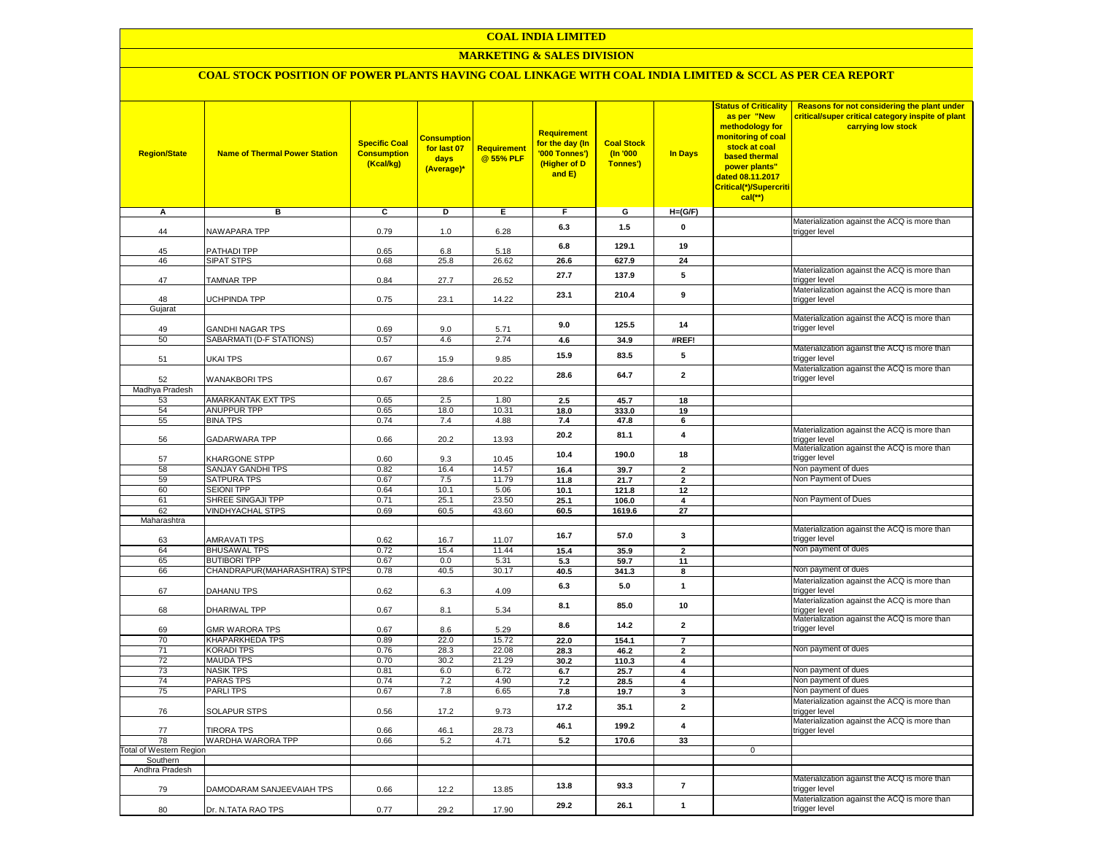## **MARKETING & SALES DIVISION**

# **COAL STOCK POSITION OF POWER PLANTS HAVING COAL LINKAGE WITH COAL INDIA LIMITED & SCCL AS PER CEA REPORT**

| <b>Region/State</b>        | <b>Name of Thermal Power Station</b>            | <b>Specific Coal</b><br><b>Consumption</b><br>(Kcal/kg) | <b>Consumption</b><br>for last 07<br>days<br>(Average)* | Requirement<br>@ 55% PLF | <b>Requirement</b><br>for the day (In<br>'000 Tonnes')<br>(Higher of D<br>and E) | <b>Coal Stock</b><br>(In '000<br>Tonnes') | <b>In Days</b>                            | <b>Status of Criticality</b><br>as per "New<br>methodology for<br><mark>monitoring of coal</mark><br>stock at coal<br><b>based thermal</b><br>power plants"<br>dated 08.11.2017<br>Critical(*)/Supercriti<br>cal(**) | Reasons for not considering the plant under<br>critical/super critical category inspite of plant<br>carrying low stock |
|----------------------------|-------------------------------------------------|---------------------------------------------------------|---------------------------------------------------------|--------------------------|----------------------------------------------------------------------------------|-------------------------------------------|-------------------------------------------|----------------------------------------------------------------------------------------------------------------------------------------------------------------------------------------------------------------------|------------------------------------------------------------------------------------------------------------------------|
| А                          | в                                               | C                                                       | D                                                       | Е.                       | F                                                                                | G                                         | $H=(G/F)$                                 |                                                                                                                                                                                                                      |                                                                                                                        |
| 44                         | NAWAPARA TPP                                    | 0.79                                                    | 1.0                                                     | 6.28                     | 6.3                                                                              | 1.5                                       | $\mathbf 0$                               |                                                                                                                                                                                                                      | Materialization against the ACQ is more than<br>trigger level                                                          |
| 45                         | PATHADI TPP                                     | 0.65                                                    | 6.8                                                     | 5.18                     | 6.8                                                                              | 129.1                                     | 19                                        |                                                                                                                                                                                                                      |                                                                                                                        |
| 46                         | <b>SIPAT STPS</b>                               | 0.68                                                    | 25.8                                                    | 26.62                    | 26.6                                                                             | 627.9                                     | 24                                        |                                                                                                                                                                                                                      |                                                                                                                        |
| 47                         | <b>TAMNAR TPP</b>                               | 0.84                                                    | 27.7                                                    | 26.52                    | 27.7                                                                             | 137.9                                     | 5                                         |                                                                                                                                                                                                                      | Materialization against the ACQ is more than<br>trigger level                                                          |
| 48                         | UCHPINDA TPP                                    | 0.75                                                    | 23.1                                                    | 14.22                    | 23.1                                                                             | 210.4                                     | 9                                         |                                                                                                                                                                                                                      | Materialization against the ACQ is more than<br>trigger level                                                          |
| Gujarat                    |                                                 |                                                         |                                                         |                          |                                                                                  |                                           |                                           |                                                                                                                                                                                                                      | Materialization against the ACQ is more than                                                                           |
| 49                         | GANDHI NAGAR TPS                                | 0.69                                                    | 9.0                                                     | 5.71                     | 9.0                                                                              | 125.5                                     | 14                                        |                                                                                                                                                                                                                      | trigger level                                                                                                          |
| 50                         | SABARMATI (D-F STATIONS)                        | 0.57                                                    | 4.6                                                     | 2.74                     | 4.6                                                                              | 34.9                                      | #REF!                                     |                                                                                                                                                                                                                      |                                                                                                                        |
| 51                         | <b>UKAI TPS</b>                                 | 0.67                                                    | 15.9                                                    | 9.85                     | 15.9                                                                             | 83.5                                      | 5                                         |                                                                                                                                                                                                                      | Materialization against the ACQ is more than<br>trigger level                                                          |
| 52                         | <b>WANAKBORI TPS</b>                            | 0.67                                                    | 28.6                                                    | 20.22                    | 28.6                                                                             | 64.7                                      | $\overline{2}$                            |                                                                                                                                                                                                                      | Materialization against the ACQ is more than<br>trigger level                                                          |
| Madhya Pradesh             |                                                 |                                                         |                                                         |                          |                                                                                  |                                           |                                           |                                                                                                                                                                                                                      |                                                                                                                        |
| 53<br>54                   | <b>AMARKANTAK EXT TPS</b><br><b>ANUPPUR TPP</b> | 0.65<br>0.65                                            | 2.5<br>18.0                                             | 1.80<br>10.31            | 2.5<br>18.0                                                                      | 45.7<br>333.0                             | 18<br>19                                  |                                                                                                                                                                                                                      |                                                                                                                        |
| 55                         | <b>BINA TPS</b>                                 | 0.74                                                    | 7.4                                                     | 4.88                     | 7.4                                                                              | 47.8                                      | 6                                         |                                                                                                                                                                                                                      |                                                                                                                        |
| 56                         | <b>GADARWARA TPP</b>                            | 0.66                                                    | 20.2                                                    | 13.93                    | 20.2                                                                             | 81.1                                      | $\overline{4}$                            |                                                                                                                                                                                                                      | Materialization against the ACQ is more than<br>trigger level                                                          |
| 57                         | KHARGONE STPP                                   | 0.60                                                    | 9.3                                                     | 10.45                    | 10.4                                                                             | 190.0                                     | 18                                        |                                                                                                                                                                                                                      | Materialization against the ACQ is more than<br>trigger level                                                          |
| 58                         | SANJAY GANDHI TPS                               | 0.82                                                    | 16.4                                                    | 14.57                    | 16.4                                                                             | 39.7                                      | $\overline{2}$                            |                                                                                                                                                                                                                      | Non payment of dues                                                                                                    |
| 59                         | SATPURA TPS                                     | 0.67                                                    | 7.5                                                     | 11.79                    | 11.8                                                                             | 21.7                                      | $\overline{2}$                            |                                                                                                                                                                                                                      | Non Payment of Dues                                                                                                    |
| 60<br>61                   | <b>SEIONI TPP</b><br>SHREE SINGAJI TPP          | 0.64<br>0.71                                            | 10.1<br>25.1                                            | 5.06<br>23.50            | 10.1                                                                             | 121.8                                     | 12<br>4                                   |                                                                                                                                                                                                                      | Non Payment of Dues                                                                                                    |
| 62                         | <b>VINDHYACHAL STPS</b>                         | 0.69                                                    | 60.5                                                    | 43.60                    | 25.1<br>60.5                                                                     | 106.0<br>1619.6                           | 27                                        |                                                                                                                                                                                                                      |                                                                                                                        |
| Maharashtra                |                                                 |                                                         |                                                         |                          |                                                                                  |                                           |                                           |                                                                                                                                                                                                                      |                                                                                                                        |
| 63                         | AMRAVATI TPS                                    | 0.62                                                    | 16.7                                                    | 11.07                    | 16.7                                                                             | 57.0                                      | 3                                         |                                                                                                                                                                                                                      | Materialization against the ACQ is more than<br>trigger level                                                          |
| 64                         | <b>BHUSAWAL TPS</b>                             | 0.72                                                    | 15.4                                                    | 11.44                    | 15.4                                                                             | 35.9                                      | $\overline{2}$                            |                                                                                                                                                                                                                      | Non payment of dues                                                                                                    |
| 65                         | <b>BUTIBORI TPP</b>                             | 0.67                                                    | 0.0                                                     | 5.31                     | 5.3                                                                              | 59.7                                      | 11                                        |                                                                                                                                                                                                                      |                                                                                                                        |
| 66                         | CHANDRAPUR (MAHARASHTRA) STPS                   | 0.78                                                    | 40.5                                                    | 30.17                    | 40.5                                                                             | 341.3                                     | 8                                         |                                                                                                                                                                                                                      | Non payment of dues<br>Materialization against the ACQ is more than                                                    |
| 67                         | <b>DAHANU TPS</b>                               | 0.62                                                    | 6.3                                                     | 4.09                     | 6.3                                                                              | 5.0                                       | $\mathbf{1}$                              |                                                                                                                                                                                                                      | trigger level<br>Materialization against the ACQ is more than                                                          |
| 68                         | <b>DHARIWAL TPP</b>                             | 0.67                                                    | 8.1                                                     | 5.34                     | 8.1                                                                              | 85.0                                      | 10                                        |                                                                                                                                                                                                                      | trigger level<br>Materialization against the ACQ is more than                                                          |
| 69                         | <b>GMR WARORA TPS</b>                           | 0.67                                                    | 8.6                                                     | 5.29                     | 8.6                                                                              | 14.2                                      | $\mathbf{2}$                              |                                                                                                                                                                                                                      | trigger level                                                                                                          |
| 70<br>71                   | KHAPARKHEDA TPS<br><b>KORADI TPS</b>            | 0.89<br>0.76                                            | 22.0<br>28.3                                            | 15.72<br>22.08           | 22.0                                                                             | 154.1                                     | $\overline{7}$                            |                                                                                                                                                                                                                      | Non payment of dues                                                                                                    |
| 72                         | <b>MAUDA TPS</b>                                | 0.70                                                    | 30.2                                                    | 21.29                    | 28.3<br>30.2                                                                     | 46.2<br>110.3                             | $\overline{2}$<br>$\overline{\mathbf{4}}$ |                                                                                                                                                                                                                      |                                                                                                                        |
| 73                         | <b>NASIK TPS</b>                                | 0.81                                                    | 6.0                                                     | 6.72                     | 6.7                                                                              | 25.7                                      | $\overline{4}$                            |                                                                                                                                                                                                                      | Non payment of dues                                                                                                    |
| 74                         | <b>PARAS TPS</b>                                | 0.74                                                    | 7.2                                                     | 4.90                     | 7.2                                                                              | 28.5                                      | 4                                         |                                                                                                                                                                                                                      | Non payment of dues                                                                                                    |
| 75                         | <b>PARLITPS</b>                                 | 0.67                                                    | 7.8                                                     | 6.65                     | 7.8                                                                              | 19.7                                      | 3                                         |                                                                                                                                                                                                                      | Non payment of dues                                                                                                    |
| 76                         | SOLAPUR STPS                                    | 0.56                                                    | 17.2                                                    | 9.73                     | 17.2                                                                             | 35.1                                      | $\mathbf{2}$                              |                                                                                                                                                                                                                      | Materialization against the ACQ is more than<br>trigger level                                                          |
| 77                         | <b>TIRORA TPS</b>                               | 0.66                                                    | 46.1                                                    | 28.73                    | 46.1                                                                             | 199.2                                     | 4                                         |                                                                                                                                                                                                                      | Materialization against the ACQ is more than<br>trigger level                                                          |
| 78                         | WARDHA WARORA TPP                               | 0.66                                                    | 5.2                                                     | 4.71                     | 5.2                                                                              | 170.6                                     | 33                                        |                                                                                                                                                                                                                      |                                                                                                                        |
| Total of Western Region    |                                                 |                                                         |                                                         |                          |                                                                                  |                                           |                                           | $\mathbf 0$                                                                                                                                                                                                          |                                                                                                                        |
| Southern<br>Andhra Pradesh |                                                 |                                                         |                                                         |                          |                                                                                  |                                           |                                           |                                                                                                                                                                                                                      |                                                                                                                        |
| 79                         | DAMODARAM SANJEEVAIAH TPS                       | 0.66                                                    | 12.2                                                    | 13.85                    | 13.8                                                                             | 93.3                                      | $\overline{\phantom{a}}$                  |                                                                                                                                                                                                                      | Materialization against the ACQ is more than<br>trigger level                                                          |
| 80                         | Dr. N.TATA RAO TPS                              | 0.77                                                    | 29.2                                                    | 17.90                    | 29.2                                                                             | 26.1                                      | $\mathbf{1}$                              |                                                                                                                                                                                                                      | Materialization against the ACQ is more than<br>trigger level                                                          |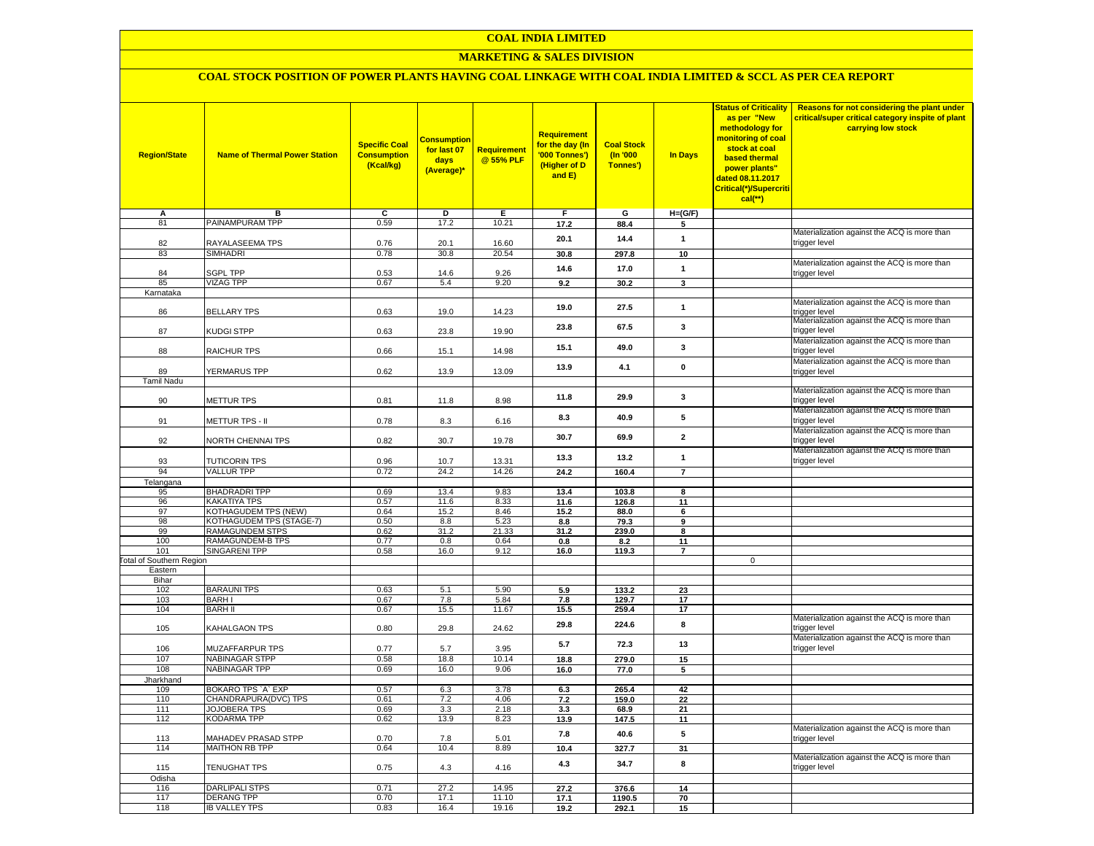## **MARKETING & SALES DIVISION**

# **COAL STOCK POSITION OF POWER PLANTS HAVING COAL LINKAGE WITH COAL INDIA LIMITED & SCCL AS PER CEA REPORT**

| <b>Region/State</b>                 | <b>Name of Thermal Power Station</b>               | <b>Specific Coal</b><br><b>Consumption</b><br>(Kcal/kg) | <b>Consumption</b><br>for last 07<br>days<br>(Average)* | <b>Requirement</b><br>@ 55% PLF | <b>Requirement</b><br>for the day (In<br>'000 Tonnes')<br>(Higher of D<br>and E) | <b>Coal Stock</b><br>(In '000<br>Tonnes') | <b>In Days</b>     | <b>Status of Criticality</b><br>as per "New<br>methodology for<br>monitoring of coal<br>stock at coal<br>based thermal<br>power plants"<br>dated 08.11.2017<br>Critical(*)/Supercriti<br>$cal$ (**) | Reasons for not considering the plant under<br>critical/super critical category inspite of plant<br>carrying low stock |
|-------------------------------------|----------------------------------------------------|---------------------------------------------------------|---------------------------------------------------------|---------------------------------|----------------------------------------------------------------------------------|-------------------------------------------|--------------------|-----------------------------------------------------------------------------------------------------------------------------------------------------------------------------------------------------|------------------------------------------------------------------------------------------------------------------------|
| А<br>81                             | в<br>PAINAMPURAM TPP                               | C<br>0.59                                               | D<br>17.2                                               | Е<br>10.21                      | F.<br>17.2                                                                       | G                                         | $H=(G/F)$          |                                                                                                                                                                                                     |                                                                                                                        |
|                                     |                                                    |                                                         |                                                         |                                 |                                                                                  | 88.4                                      | 5                  |                                                                                                                                                                                                     | Materialization against the ACQ is more than                                                                           |
| 82<br>83                            | RAYALASEEMA TPS<br><b>SIMHADRI</b>                 | 0.76<br>0.78                                            | 20.1<br>30.8                                            | 16.60<br>20.54                  | 20.1<br>30.8                                                                     | 14.4<br>297.8                             | $\mathbf{1}$<br>10 |                                                                                                                                                                                                     | trigger level                                                                                                          |
|                                     |                                                    |                                                         |                                                         |                                 |                                                                                  |                                           |                    |                                                                                                                                                                                                     | Materialization against the ACQ is more than                                                                           |
| 84                                  | SGPL TPP                                           | 0.53                                                    | 14.6                                                    | 9.26                            | 14.6                                                                             | 17.0                                      | $\mathbf{1}$       |                                                                                                                                                                                                     | trigger level                                                                                                          |
| 85                                  | <b>VIZAG TPP</b>                                   | 0.67                                                    | 5.4                                                     | 9.20                            | 9.2                                                                              | 30.2                                      | 3                  |                                                                                                                                                                                                     |                                                                                                                        |
| Karnataka                           |                                                    |                                                         |                                                         |                                 |                                                                                  |                                           |                    |                                                                                                                                                                                                     | Materialization against the ACQ is more than                                                                           |
| 86                                  | <b>BELLARY TPS</b>                                 | 0.63                                                    | 19.0                                                    | 14.23                           | 19.0                                                                             | 27.5                                      | $\mathbf{1}$       |                                                                                                                                                                                                     | trigger level<br>Materialization against the ACQ is more than                                                          |
| 87                                  | KUDGI STPP                                         | 0.63                                                    | 23.8                                                    | 19.90                           | 23.8                                                                             | 67.5                                      | 3                  |                                                                                                                                                                                                     | trigger level                                                                                                          |
| 88                                  | RAICHUR TPS                                        | 0.66                                                    | 15.1                                                    | 14.98                           | 15.1                                                                             | 49.0                                      | 3                  |                                                                                                                                                                                                     | Materialization against the ACQ is more than<br>trigger level                                                          |
| 89                                  | YERMARUS TPP                                       | 0.62                                                    | 13.9                                                    | 13.09                           | 13.9                                                                             | 4.1                                       | $\mathbf 0$        |                                                                                                                                                                                                     | Materialization against the ACQ is more than<br>trigger level                                                          |
| <b>Tamil Nadu</b>                   |                                                    |                                                         |                                                         |                                 |                                                                                  |                                           |                    |                                                                                                                                                                                                     |                                                                                                                        |
| 90                                  | METTUR TPS                                         | 0.81                                                    | 11.8                                                    | 8.98                            | 11.8                                                                             | 29.9                                      | 3                  |                                                                                                                                                                                                     | Materialization against the ACQ is more than<br>trigger level                                                          |
| 91                                  | METTUR TPS - II                                    | 0.78                                                    | 8.3                                                     | 6.16                            | 8.3                                                                              | 40.9                                      | 5                  |                                                                                                                                                                                                     | Materialization against the ACQ is more than<br>trigger level                                                          |
| 92                                  | NORTH CHENNAI TPS                                  | 0.82                                                    | 30.7                                                    | 19.78                           | 30.7                                                                             | 69.9                                      | $\mathbf{2}$       |                                                                                                                                                                                                     | Materialization against the ACQ is more than<br>trigger level                                                          |
| 93                                  | <b>TUTICORIN TPS</b>                               | 0.96                                                    | 10.7                                                    | 13.31                           | 13.3                                                                             | 13.2                                      | $\mathbf{1}$       |                                                                                                                                                                                                     | Materialization against the ACQ is more than<br>trigger level                                                          |
| 94                                  | <b>VALLUR TPP</b>                                  | 0.72                                                    | 24.2                                                    | 14.26                           | 24.2                                                                             | 160.4                                     | $\overline{7}$     |                                                                                                                                                                                                     |                                                                                                                        |
| Telangana                           |                                                    |                                                         |                                                         |                                 |                                                                                  |                                           |                    |                                                                                                                                                                                                     |                                                                                                                        |
| 95                                  | <b>BHADRADRITPP</b>                                | 0.69                                                    | 13.4                                                    | 9.83                            | 13.4                                                                             | 103.8                                     | 8                  |                                                                                                                                                                                                     |                                                                                                                        |
| 96<br>97                            | <b>KAKATIYA TPS</b><br><b>KOTHAGUDEM TPS (NEW)</b> | 0.57<br>0.64                                            | 11.6<br>15.2                                            | 8.33<br>8.46                    | 11.6<br>15.2                                                                     | 126.8<br>88.0                             | 11                 |                                                                                                                                                                                                     |                                                                                                                        |
| 98                                  | KOTHAGUDEM TPS (STAGE-7)                           | 0.50                                                    | 8.8                                                     | 5.23                            | 8.8                                                                              | 79.3                                      | 6<br>9             |                                                                                                                                                                                                     |                                                                                                                        |
| 99                                  | RAMAGUNDEM STPS                                    | 0.62                                                    | 31.2                                                    | 21.33                           | 31.2                                                                             | 239.0                                     | 8                  |                                                                                                                                                                                                     |                                                                                                                        |
| 100                                 | <b>RAMAGUNDEM-B TPS</b>                            | 0.77                                                    | 0.8                                                     | 0.64                            | 0.8                                                                              | 8.2                                       | 11                 |                                                                                                                                                                                                     |                                                                                                                        |
| 101                                 | <b>SINGARENI TPP</b>                               | 0.58                                                    | 16.0                                                    | 9.12                            | 16.0                                                                             | 119.3                                     | $\overline{7}$     |                                                                                                                                                                                                     |                                                                                                                        |
| Total of Southern Region<br>Eastern |                                                    |                                                         |                                                         |                                 |                                                                                  |                                           |                    | $\overline{0}$                                                                                                                                                                                      |                                                                                                                        |
| Bihar                               |                                                    |                                                         |                                                         |                                 |                                                                                  |                                           |                    |                                                                                                                                                                                                     |                                                                                                                        |
| 102                                 | <b>BARAUNI TPS</b>                                 | 0.63                                                    | 5.1                                                     | 5.90                            | 5.9                                                                              | 133.2                                     | 23                 |                                                                                                                                                                                                     |                                                                                                                        |
| 103                                 | <b>BARHI</b>                                       | 0.67                                                    | 7.8                                                     | 5.84                            | 7.8                                                                              | 129.7                                     | 17                 |                                                                                                                                                                                                     |                                                                                                                        |
| 104                                 | <b>BARH II</b>                                     | 0.67                                                    | 15.5                                                    | 11.67                           | 15.5<br>29.8                                                                     | 259.4<br>224.6                            | 17<br>8            |                                                                                                                                                                                                     | Materialization against the ACQ is more than                                                                           |
| 105                                 | KAHALGAON TPS                                      | 0.80                                                    | 29.8                                                    | 24.62                           | 5.7                                                                              | 72.3                                      | 13                 |                                                                                                                                                                                                     | trigger level<br>Materialization against the ACQ is more than                                                          |
| 106                                 | MUZAFFARPUR TPS                                    | 0.77                                                    | 5.7                                                     | 3.95                            |                                                                                  |                                           |                    |                                                                                                                                                                                                     | trigger level                                                                                                          |
| 107<br>108                          | <b>NABINAGAR STPP</b><br>NABINAGAR TPP             | 0.58<br>0.69                                            | 18.8<br>16.0                                            | 10.14<br>9.06                   | 18.8                                                                             | 279.0                                     | 15                 |                                                                                                                                                                                                     |                                                                                                                        |
| Jharkhand                           |                                                    |                                                         |                                                         |                                 | 16.0                                                                             | 77.0                                      | 5                  |                                                                                                                                                                                                     |                                                                                                                        |
| 109                                 | BOKARO TPS 'A' EXP                                 | 0.57                                                    | 6.3                                                     | 3.78                            | 6.3                                                                              | 265.4                                     | 42                 |                                                                                                                                                                                                     |                                                                                                                        |
| 110                                 | CHANDRAPURA(DVC) TPS                               | 0.61                                                    | 7.2                                                     | 4.06                            | 7.2                                                                              | 159.0                                     | 22                 |                                                                                                                                                                                                     |                                                                                                                        |
| 111                                 | JOJOBERA TPS                                       | 0.69                                                    | 3.3                                                     | 2.18                            | 3.3                                                                              | 68.9                                      | 21                 |                                                                                                                                                                                                     |                                                                                                                        |
| 112                                 | <b>KODARMA TPP</b>                                 | 0.62                                                    | 13.9                                                    | 8.23                            | 13.9                                                                             | 147.5                                     | 11                 |                                                                                                                                                                                                     | Materialization against the ACQ is more than                                                                           |
| 113                                 | <b>MAHADEV PRASAD STPP</b>                         | 0.70                                                    | 7.8                                                     | 5.01                            | 7.8                                                                              | 40.6                                      | 5                  |                                                                                                                                                                                                     | trigger level                                                                                                          |
| 114                                 | MAITHON RB TPP                                     | 0.64                                                    | 10.4                                                    | 8.89                            | 10.4                                                                             | 327.7                                     | 31                 |                                                                                                                                                                                                     | Materialization against the ACQ is more than                                                                           |
| 115                                 | TENUGHAT TPS                                       | 0.75                                                    | 4.3                                                     | 4.16                            | 4.3                                                                              | 34.7                                      | 8                  |                                                                                                                                                                                                     | trigger level                                                                                                          |
| Odisha<br>116                       | DARLIPALI STPS                                     | 0.71                                                    | 27.2                                                    | 14.95                           | 27.2                                                                             | 376.6                                     | 14                 |                                                                                                                                                                                                     |                                                                                                                        |
| 117                                 | <b>DERANG TPP</b>                                  | 0.70                                                    | 17.1                                                    | 11.10                           | 17.1                                                                             | 1190.5                                    | 70                 |                                                                                                                                                                                                     |                                                                                                                        |
| 118                                 | <b>IB VALLEY TPS</b>                               | 0.83                                                    | 16.4                                                    | 19.16                           | 19.2                                                                             | 292.1                                     | 15                 |                                                                                                                                                                                                     |                                                                                                                        |